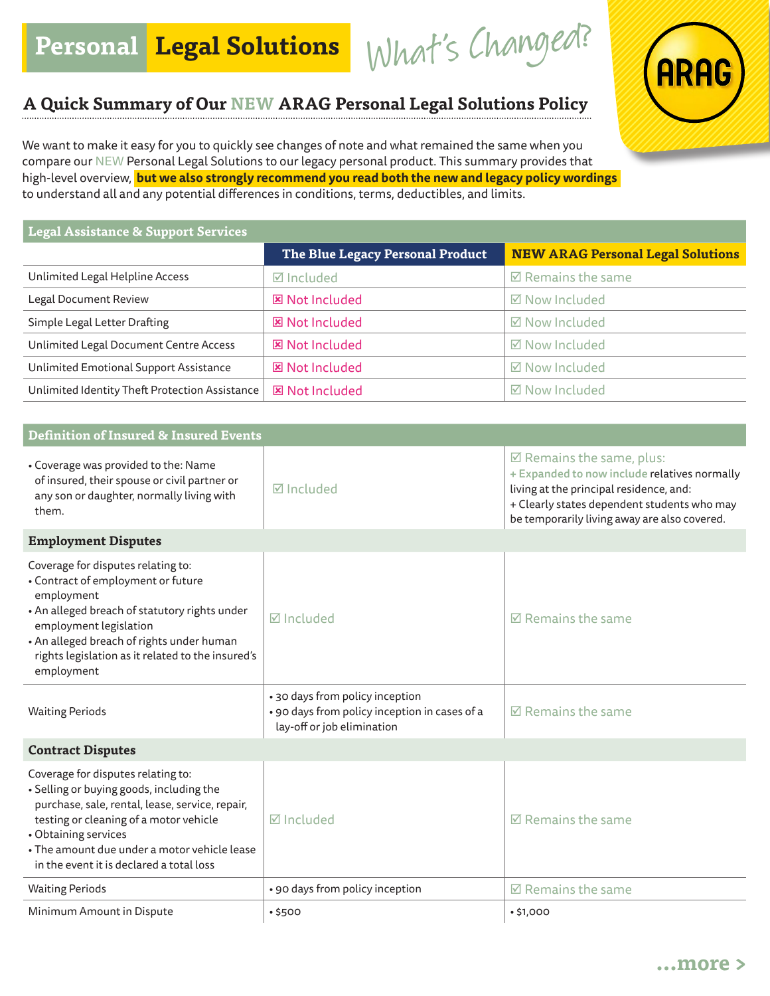Personal Legal Solutions What's Changed?

## **A Quick Summary of Our NEW ARAG Personal Legal Solutions Policy**

We want to make it easy for you to quickly see changes of note and what remained the same when you compare our NEW Personal Legal Solutions to our legacy personal product. This summary provides that high-level overview, **but we also strongly recommend you read both the new and legacy policy wordings**  to understand all and any potential differences in conditions, terms, deductibles, and limits.

| Legal Assistance & Support Services            |                                  |                                          |  |  |
|------------------------------------------------|----------------------------------|------------------------------------------|--|--|
|                                                | The Blue Legacy Personal Product | <b>NEW ARAG Personal Legal Solutions</b> |  |  |
| Unlimited Legal Helpline Access                | <b>Ø</b> Included                | $\boxtimes$ Remains the same             |  |  |
| Legal Document Review                          | <b>図 Not Included</b>            | ☑ Now Included                           |  |  |
| Simple Legal Letter Drafting                   | <b>図 Not Included</b>            | ☑ Now Included                           |  |  |
| Unlimited Legal Document Centre Access         | <b>図 Not Included</b>            | <b>⊠</b> Now Included                    |  |  |
| Unlimited Emotional Support Assistance         | <b>図 Not Included</b>            | ☑ Now Included                           |  |  |
| Unlimited Identity Theft Protection Assistance | <b>図 Not Included</b>            | ☑ Now Included                           |  |  |

| <b>Definition of Insured &amp; Insured Events</b>                                                                                                                                                                                                                                               |                                                                                                                |                                                                                                                                                                                                                               |
|-------------------------------------------------------------------------------------------------------------------------------------------------------------------------------------------------------------------------------------------------------------------------------------------------|----------------------------------------------------------------------------------------------------------------|-------------------------------------------------------------------------------------------------------------------------------------------------------------------------------------------------------------------------------|
| • Coverage was provided to the: Name<br>of insured, their spouse or civil partner or<br>any son or daughter, normally living with<br>them.                                                                                                                                                      | M Included                                                                                                     | $\boxtimes$ Remains the same, plus:<br>+ Expanded to now include relatives normally<br>living at the principal residence, and:<br>+ Clearly states dependent students who may<br>be temporarily living away are also covered. |
| <b>Employment Disputes</b>                                                                                                                                                                                                                                                                      |                                                                                                                |                                                                                                                                                                                                                               |
| Coverage for disputes relating to:<br>• Contract of employment or future<br>employment<br>• An alleged breach of statutory rights under<br>employment legislation<br>• An alleged breach of rights under human<br>rights legislation as it related to the insured's<br>employment               | <b>Ø</b> Included                                                                                              | $\boxtimes$ Remains the same                                                                                                                                                                                                  |
| <b>Waiting Periods</b>                                                                                                                                                                                                                                                                          | • 30 days from policy inception<br>· 90 days from policy inception in cases of a<br>lay-off or job elimination | $\boxtimes$ Remains the same                                                                                                                                                                                                  |
| <b>Contract Disputes</b>                                                                                                                                                                                                                                                                        |                                                                                                                |                                                                                                                                                                                                                               |
| Coverage for disputes relating to:<br>• Selling or buying goods, including the<br>purchase, sale, rental, lease, service, repair,<br>testing or cleaning of a motor vehicle<br>• Obtaining services<br>• The amount due under a motor vehicle lease<br>in the event it is declared a total loss | $\boxtimes$ Included                                                                                           | $\boxtimes$ Remains the same                                                                                                                                                                                                  |
| <b>Waiting Periods</b>                                                                                                                                                                                                                                                                          | • 90 days from policy inception                                                                                | $\boxtimes$ Remains the same                                                                                                                                                                                                  |
| Minimum Amount in Dispute                                                                                                                                                                                                                                                                       | •5500                                                                                                          | •\$1,000                                                                                                                                                                                                                      |

**ARAG**